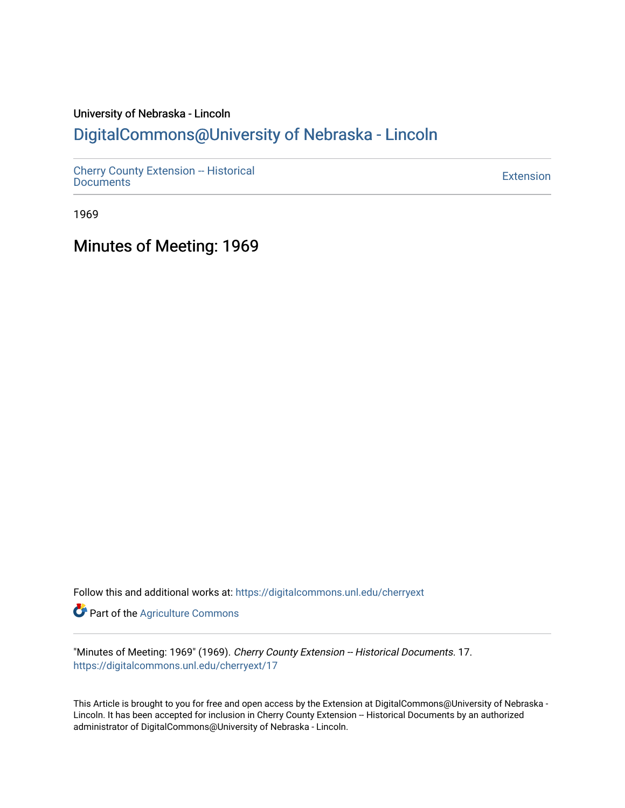# University of Nebraska - Lincoln [DigitalCommons@University of Nebraska - Lincoln](https://digitalcommons.unl.edu/)

[Cherry County Extension -- Historical](https://digitalcommons.unl.edu/cherryext)  [Documents](https://digitalcommons.unl.edu/cherryext) [Extension](https://digitalcommons.unl.edu/coop_extension) 

1969

Minutes of Meeting: 1969

Follow this and additional works at: [https://digitalcommons.unl.edu/cherryext](https://digitalcommons.unl.edu/cherryext?utm_source=digitalcommons.unl.edu%2Fcherryext%2F17&utm_medium=PDF&utm_campaign=PDFCoverPages) 

**Part of the [Agriculture Commons](http://network.bepress.com/hgg/discipline/1076?utm_source=digitalcommons.unl.edu%2Fcherryext%2F17&utm_medium=PDF&utm_campaign=PDFCoverPages)** 

"Minutes of Meeting: 1969" (1969). Cherry County Extension -- Historical Documents. 17. [https://digitalcommons.unl.edu/cherryext/17](https://digitalcommons.unl.edu/cherryext/17?utm_source=digitalcommons.unl.edu%2Fcherryext%2F17&utm_medium=PDF&utm_campaign=PDFCoverPages)

This Article is brought to you for free and open access by the Extension at DigitalCommons@University of Nebraska - Lincoln. It has been accepted for inclusion in Cherry County Extension -- Historical Documents by an authorized administrator of DigitalCommons@University of Nebraska - Lincoln.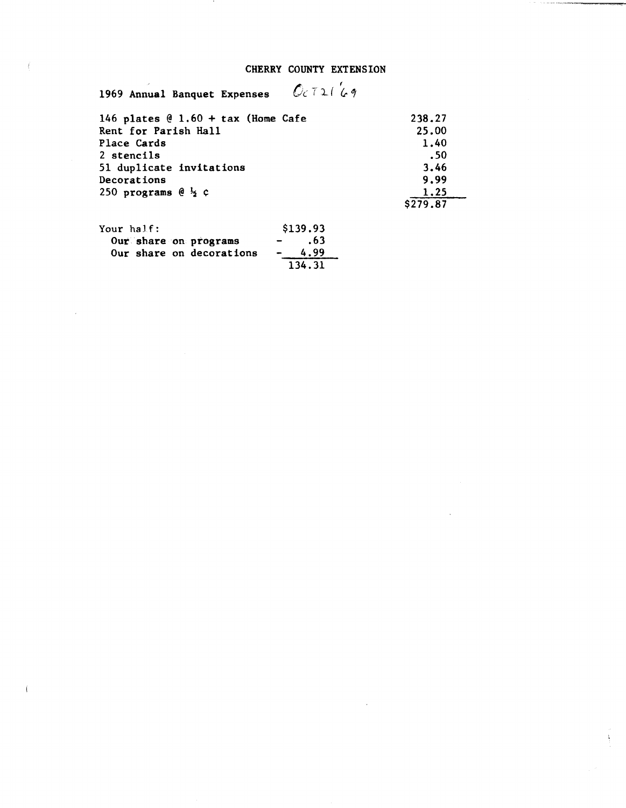## CHERRY COUNTY EXTENSION

**THE STATE IN PROPERTY WAY** 

| 0c721c9<br>1969 Annual Banquet Expenses |                  |
|-----------------------------------------|------------------|
| 146 plates $@1.60 + tax$ (Home Cafe     | 238.27           |
| Rent for Parish Hall                    | 25.00            |
| Place Cards                             | 1.40             |
| 2 stencils                              | .50              |
| 51 duplicate invitations                | 3.46             |
| Decorations                             | 9.99             |
| 250 programs $\theta \frac{1}{2} \zeta$ | 1.25<br>\$279.87 |
|                                         |                  |

| Your half: |                          | \$139.93             |
|------------|--------------------------|----------------------|
|            | Our share on programs    | .63<br>$\sim$ $\sim$ |
|            | Our share on decorations | 4.99<br>$\sim$       |
|            |                          | 134.31               |

 $\langle \hat{f} \rangle$ 

 $\bar{\bar{z}}$ 

Ť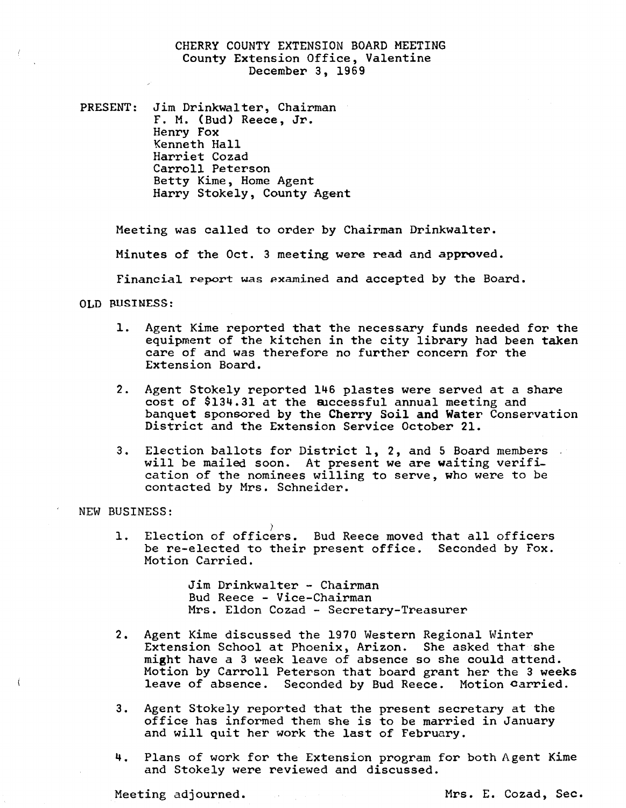## CHERRY COUNTY EXTENSION BOARD MEETING County Extension Office, Valentine December 3, 1969

PRESENT: Jim Drinkwa1ter, Chairman F. M. (Bud) Reece, Jr. Henry Fox Kenneth Hall Harriet Cozad Carroll Peterson Betty Kime, Home Agent Harry Stokely, County Agent

Meeting was called to order by Chairman Drinkwa1ter.

Minutes of the Oct. 3 meeting were read and approved.

Financial report was pxamined and accepted by the Board.

OLD BUSINESS:

- 1. Agent Kime reported that the necessary funds needed for the equipment of the kitchen in the city library had been taken care of and was therefore no further concern for the Extension Board.
- 2. Agent Stokely reported 146 plastes were served at a share cost of  $$134.31$  at the auccessful annual meeting and banquet sponsored by the Cherry *Soil* and Water Conservation District and the Extension Service October 21.
- 3. Election ballots for District 1, 2, and 5 Board members will be mailed soon. At present we are waiting verification of the nominees willing to serve, who were to be contacted by Mrs. Schneider.

NEW BUSINESS:

1. Election of officers. Bud Reece moved that all officers be re-elected to their present office. Seconded by Fox. Motion Carried. be re-elected to their present office. Seconded by Fox.

> Jim Drinkwalter - Chairman Bud Reece - Vice-Chairman Mrs. Eldon Cozad - Secretary-Treasurer

- 2. Agent Kime discussed the 1970 Western Regional Winter Extension School at Phoenix, Arizon. She asked that she might have a 3 week leave of absence so she could attend. Motion by Carroll Peterson that board grant her the 3 weeks leave of absence. Seconded by Bud Reece. Motion carried.
- 3. Agent Stokely reported that the present secretary at the office has informed them she is to be married *in* January and will quit her work the last of February.
- 4. Plans of work for the Extension program for both Agent Kime and Stokely were reviewed and discussed.

Meeting adjourned. The mass of the Mrs. E. Cozad, Sec.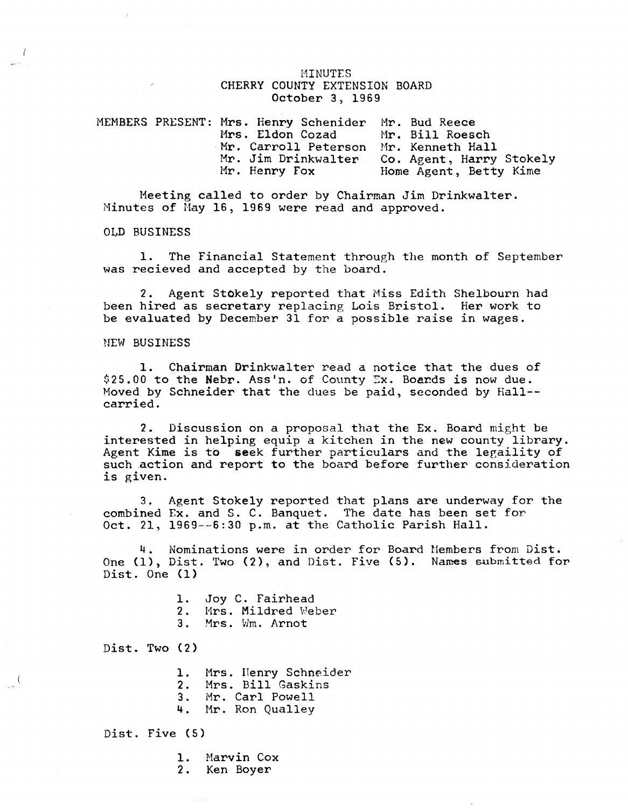#### **MINUTES** CHERRY COUNTY EXTENSION BOARD October 3, 1969

|  | MEMBERS PRESENT: Mrs. Henry Schenider Mr. Bud Reece |                          |
|--|-----------------------------------------------------|--------------------------|
|  | Mrs. Eldon Cozad Mr. Bill Roesch                    |                          |
|  | Mr. Carroll Peterson Mr. Kenneth Hall               |                          |
|  | Mr. Jim Drinkwalter                                 | Co. Agent, Harry Stokely |
|  | Mr. Henry Fox                                       | Home Agent, Betty Kime   |

Meeting called to order by Chairman Jim Drinkwalter. Minutes of May 16, 1969 were read and approved.

OLD BUSINESS

1. The Financial Statement through the month of September was recieved and accepted by the board.

2. Agent StOkely reported that Miss Edith Shelbourn had been hired as secretary replacing Lois Bristol. Her work to be evaluated by December 31 for a possible raise in wages.

NEW BUSINESS

1. Chairman Drinkwalter read a notice that the dues of  $$25.00$  to the Nebr. Ass'n. of County Ex. Boards is now due. Moved by Schneider that the dues be paid, seconded by Hall- carried.

2. Discussion on a proposal that the Ex. Board might be interested in helping equip a kitchen in the new county library. Agent Kime is to seek further particulars and the legallity of such action and report to the board before further consideration is given.

3. Agent Stokely reported that plans are underway for the combined Ex. and S. C. Banquet. The date has been set for Oct. 21, 1969--6:30 p.m. at the Catholic Parish Hall.

4. Nominations were in order for Board Hembers from Dist. One (1), Dist. Two (2), and Dist. Five (5). Names submitted for Dist. One (1)

- 1. Joy C. Fairhead 2. Mrs. Mildred Weber
- 3. Mrs. Wm. Arnot

Dist. Two (2)

 $\int$ 

1. Mrs. Henry Schneider

- 2. Mrs. Bill Gaskins
- 3. Mr. Carl Powell
- 4. Mr. Ron Qualley

Dist. Five (5)

1. Harvin Cox

2. Ken Boyer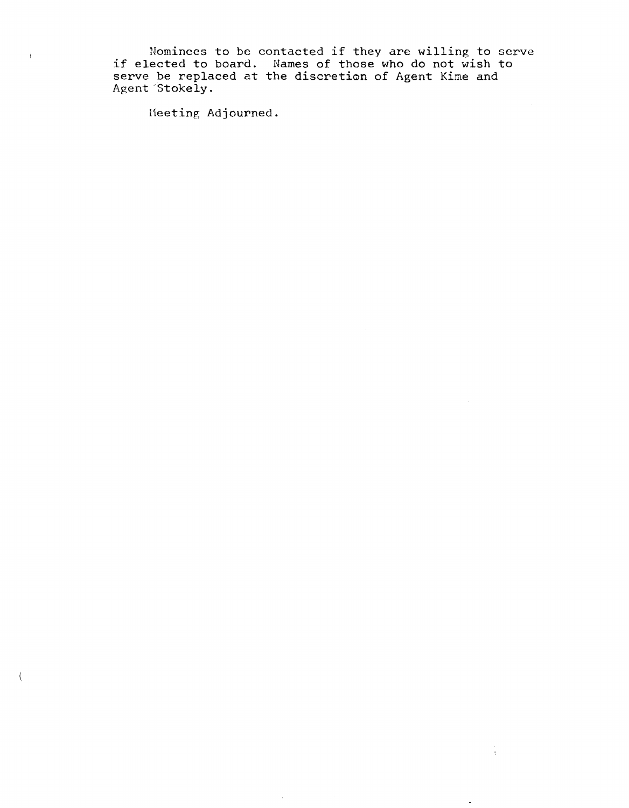Nominees to be contacted if they are willing to serve if elected to bard. Names of those who do not wish to serve be replaced at the discretion of Agent Kime and Agent "Stokely.

 $\frac{1}{4}$  .

Meeting Adjourned.

 $\overline{1}$ 

 $\left($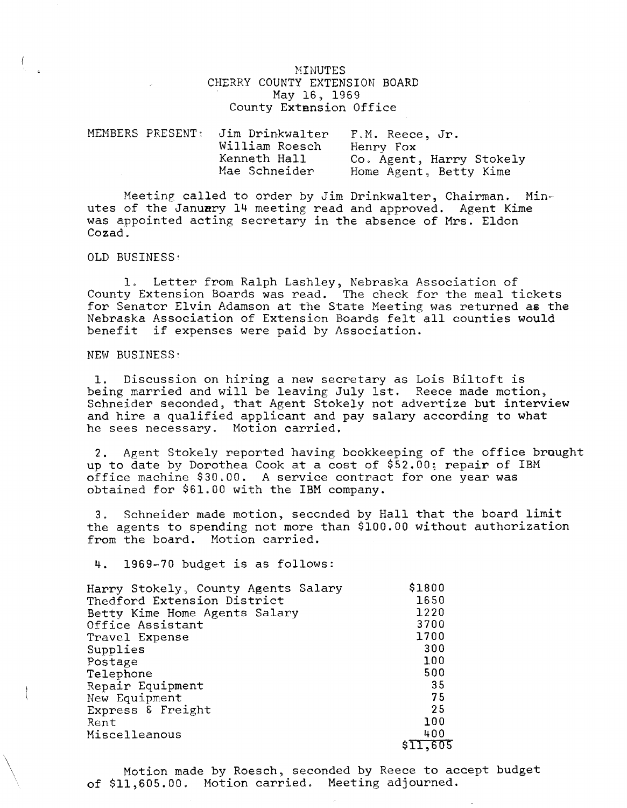#### MINUTES CHERRY COUNTY EXTENSION BOARD May 16, 1969 County Extension Office

| MEMBERS PRESENT: | Jim Drinkwalter<br>William Roesch | F.M. Reece, Jr.<br>Henry Fox                       |
|------------------|-----------------------------------|----------------------------------------------------|
|                  | Kenneth Hall<br>Mae Schneider     | Co. Agent, Harry Stokely<br>Home Agent, Betty Kime |

Meeting called to order by Jim Drinkwalter, Chairman. Minutes of the January 14 meeting read and approved. Agent Kime was appointed acting secretary in the absence of Mrs. Eldon Cozad.

#### OLD BUSINESS'

1. Letter from Ralph Lashley, Nebraska Association of County Extension Boards was read. The check for the meal tickets for Senator Elvin Adamson at the State Meeting was returned as the Nebraska Association of Extension Boards felt all counties would benefit if expenses were paid by Association.

NEW BUSINESS:

 $\setminus$ 

1. Discussion on hiring a new secretary as Lois Biltoft is being married and will be leaving July 1st. Reece made motion, Schneider seconded, that Agent Stokely not advertize but interview and hire a qualified applicant and pay salary according to what he sees necessary. Motion carried.

2. Agent Stokely reported having bookkeeping of the office brought up to date by Dorothea Cook at a cost of \$52.00; repair of IBM office machine \$30.00. A service contract for one year was obtained for \$61.00 with the IBM company.

3. Schneider made motion, seccnded by Hall that the board limit the agents to spending not more than \$100.00 without authorization from the board. Motion carried.

4. 1969-70 budget is as follows:

| Harry Stokely, County Agents Salary | \$1800   |
|-------------------------------------|----------|
| Thedford Extension District         | 1650     |
| Betty Kime Home Agents Salary       | 1220     |
| Office Assistant                    | 3700     |
| Travel Expense                      | 1700     |
| Supplies                            | 300      |
| Postage                             | 100      |
| Telephone                           | 500      |
| Repair Equipment                    | 35       |
| New Equipment                       | 75       |
| Express & Freight                   | 25       |
| Rent                                | 100      |
| Miscelleanous                       | 400      |
|                                     | \$11,605 |

Motion made by Roesch, seconded by Reece to accept budget of \$11,605.00. Motion carried. Meeting adjourned.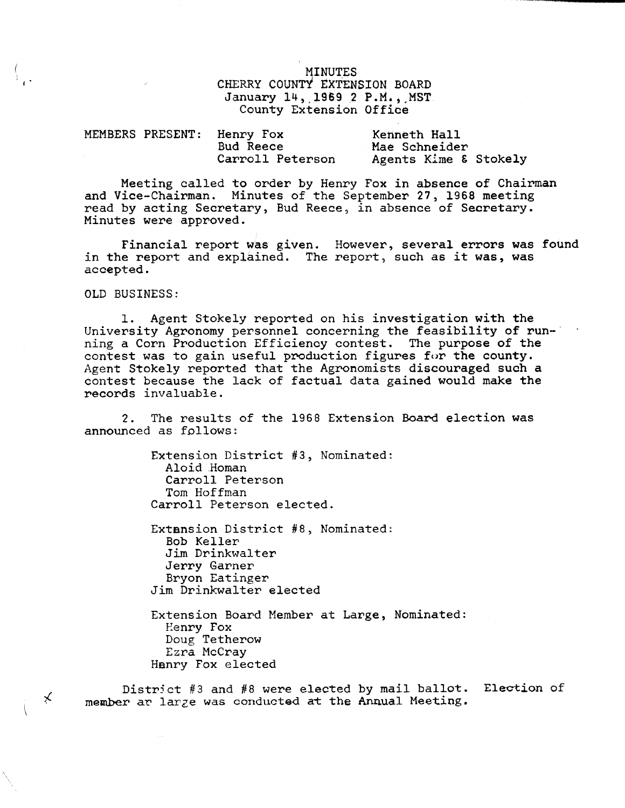# MINUTES CHERRY COUNTY EXTENSION BOARD January 14, 1969 2 P.M., MST. County Extension Office

| MEMBERS PRESENT: Henry |       |
|------------------------|-------|
|                        | Bud I |
|                        | Carro |

 $v$  Fox Reece arroll Peterson

Kenneth Hall Mae Schneider Agents Kime & Stokely

Meeting called to order by Henry Fox in absence of Chairman and Vice-Chairman. Minutes of the September 27, 1968 meeting read by acting Secretary, Bud Reece, in absence of Secretary. Minutes were approved.

Financial report was given. However, several errors was found in the report and explained. The report, such as it was, was accepted.

OLD BUSINESS:

i s

 $\star$ 

\  $\checkmark$ 

1. Agent Stokely reported on his investigation with the University Agronomy personnel concerning the feasibility of running a Corn Production Efficiency contest. The purpose of the contest was to gain useful production figures for the county. Agent Stokely reported that the Agronomists discouraged such a contest because the lack of factual data gained would make the records invaluable.

2. The results of the 1968 Extension Board election was announced as follows:

> Extension District #3, Nominated: Aloid .Homan Carroll Peterson Tom Hoffman Carroll Peterson elected.

> Extension District #8, Nominated: Bob Keller Jim Drinkwalter Jerry Garner Bryon Eatinger Jim Drinkwalter elected

Extension Board Member at Large, Nominated: Henry Fox Doug Tetherow Ezra McCray Henry Fox elected

District #3 and #8 were elected by mail ballot. Election of member ar larze was conducted at the Annual Meeting.